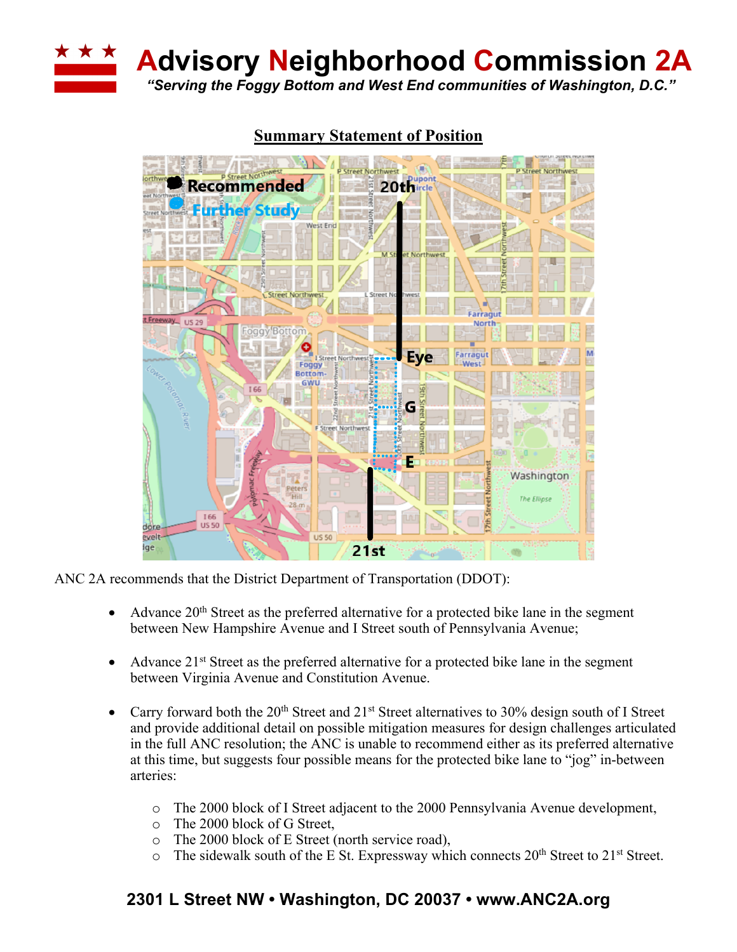

**Advisory Neighborhood Commission 2A**

*"Serving the Foggy Bottom and West End communities of Washington, D.C."*



# **Summary Statement of Position**

ANC 2A recommends that the District Department of Transportation (DDOT):

- Advance  $20<sup>th</sup>$  Street as the preferred alternative for a protected bike lane in the segment between New Hampshire Avenue and I Street south of Pennsylvania Avenue;
- Advance  $21^{st}$  Street as the preferred alternative for a protected bike lane in the segment between Virginia Avenue and Constitution Avenue.
- Carry forward both the  $20<sup>th</sup>$  Street and  $21<sup>st</sup>$  Street alternatives to 30% design south of I Street and provide additional detail on possible mitigation measures for design challenges articulated in the full ANC resolution; the ANC is unable to recommend either as its preferred alternative at this time, but suggests four possible means for the protected bike lane to "jog" in-between arteries:
	- o The 2000 block of I Street adjacent to the 2000 Pennsylvania Avenue development,
	- o The 2000 block of G Street,
	- o The 2000 block of E Street (north service road),
	- $\circ$  The sidewalk south of the E St. Expressway which connects 20<sup>th</sup> Street to 21<sup>st</sup> Street.

# **2301 L Street NW • Washington, DC 20037 • www.ANC2A.org**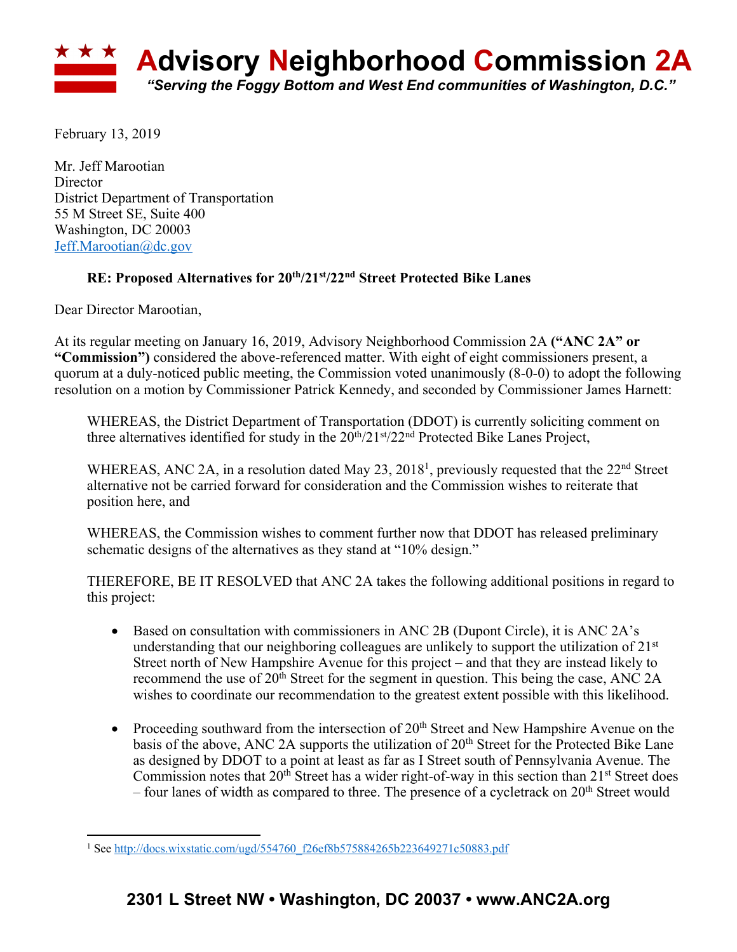

February 13, 2019

Mr. Jeff Marootian **Director** District Department of Transportation 55 M Street SE, Suite 400 Washington, DC 20003 Jeff.Marootian@dc.gov

#### **RE: Proposed Alternatives for 20th/21st/22nd Street Protected Bike Lanes**

Dear Director Marootian,

At its regular meeting on January 16, 2019, Advisory Neighborhood Commission 2A **("ANC 2A" or "Commission")** considered the above-referenced matter. With eight of eight commissioners present, a quorum at a duly-noticed public meeting, the Commission voted unanimously (8-0-0) to adopt the following resolution on a motion by Commissioner Patrick Kennedy, and seconded by Commissioner James Harnett:

WHEREAS, the District Department of Transportation (DDOT) is currently soliciting comment on three alternatives identified for study in the  $20^{th}/21^{st}/22^{nd}$  Protected Bike Lanes Project,

WHEREAS, ANC 2A, in a resolution dated May 23, 2018<sup>1</sup>, previously requested that the 22<sup>nd</sup> Street alternative not be carried forward for consideration and the Commission wishes to reiterate that position here, and

WHEREAS, the Commission wishes to comment further now that DDOT has released preliminary schematic designs of the alternatives as they stand at "10% design."

THEREFORE, BE IT RESOLVED that ANC 2A takes the following additional positions in regard to this project:

- Based on consultation with commissioners in ANC 2B (Dupont Circle), it is ANC 2A's understanding that our neighboring colleagues are unlikely to support the utilization of  $21<sup>st</sup>$ Street north of New Hampshire Avenue for this project – and that they are instead likely to recommend the use of 20<sup>th</sup> Street for the segment in question. This being the case, ANC 2A wishes to coordinate our recommendation to the greatest extent possible with this likelihood.
- Proceeding southward from the intersection of  $20<sup>th</sup>$  Street and New Hampshire Avenue on the basis of the above, ANC 2A supports the utilization of 20<sup>th</sup> Street for the Protected Bike Lane as designed by DDOT to a point at least as far as I Street south of Pennsylvania Avenue. The Commission notes that  $20<sup>th</sup>$  Street has a wider right-of-way in this section than  $21<sup>st</sup>$  Street does – four lanes of width as compared to three. The presence of a cycletrack on  $20<sup>th</sup>$  Street would

 $\overline{a}$ <sup>1</sup> See http://docs.wixstatic.com/ugd/554760\_f26ef8b575884265b223649271c50883.pdf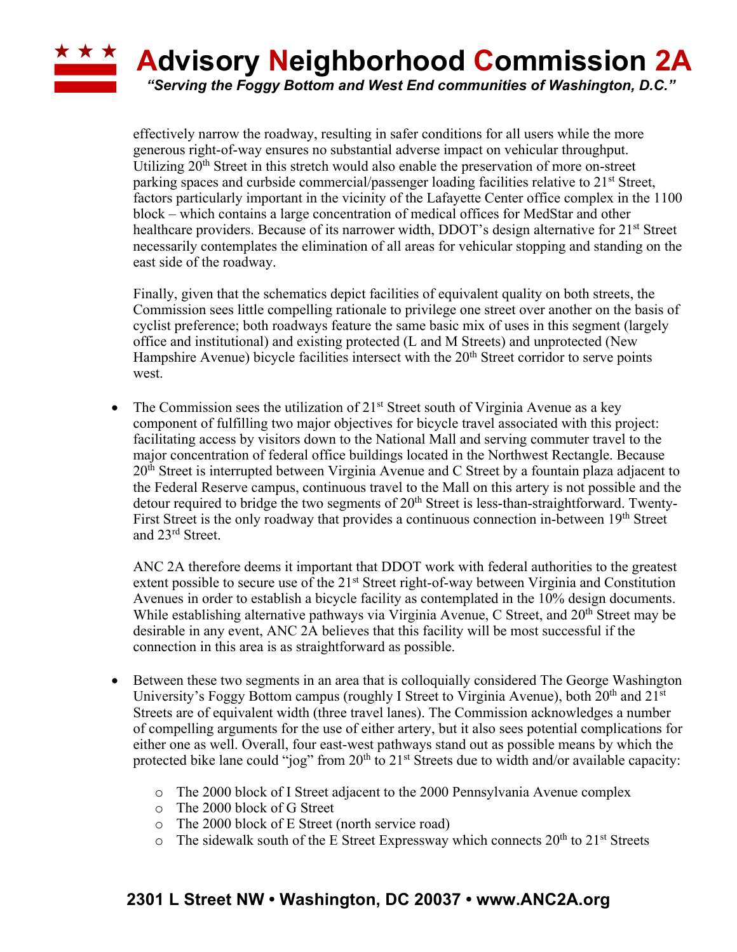### \* \* \* **Advisory Neighborhood Commission 2A** *"Serving the Foggy Bottom and West End communities of Washington, D.C."*

effectively narrow the roadway, resulting in safer conditions for all users while the more generous right-of-way ensures no substantial adverse impact on vehicular throughput. Utilizing 20<sup>th</sup> Street in this stretch would also enable the preservation of more on-street parking spaces and curbside commercial/passenger loading facilities relative to  $21<sup>st</sup>$  Street, factors particularly important in the vicinity of the Lafayette Center office complex in the 1100 block – which contains a large concentration of medical offices for MedStar and other healthcare providers. Because of its narrower width, DDOT's design alternative for 21<sup>st</sup> Street necessarily contemplates the elimination of all areas for vehicular stopping and standing on the east side of the roadway.

Finally, given that the schematics depict facilities of equivalent quality on both streets, the Commission sees little compelling rationale to privilege one street over another on the basis of cyclist preference; both roadways feature the same basic mix of uses in this segment (largely office and institutional) and existing protected (L and M Streets) and unprotected (New Hampshire Avenue) bicycle facilities intersect with the 20<sup>th</sup> Street corridor to serve points west.

• The Commission sees the utilization of  $21<sup>st</sup>$  Street south of Virginia Avenue as a key component of fulfilling two major objectives for bicycle travel associated with this project: facilitating access by visitors down to the National Mall and serving commuter travel to the major concentration of federal office buildings located in the Northwest Rectangle. Because  $20<sup>th</sup>$  Street is interrupted between Virginia Avenue and C Street by a fountain plaza adjacent to the Federal Reserve campus, continuous travel to the Mall on this artery is not possible and the detour required to bridge the two segments of  $20<sup>th</sup>$  Street is less-than-straightforward. Twenty-First Street is the only roadway that provides a continuous connection in-between 19<sup>th</sup> Street and 23rd Street.

ANC 2A therefore deems it important that DDOT work with federal authorities to the greatest extent possible to secure use of the 21<sup>st</sup> Street right-of-way between Virginia and Constitution Avenues in order to establish a bicycle facility as contemplated in the 10% design documents. While establishing alternative pathways via Virginia Avenue, C Street, and 20<sup>th</sup> Street may be desirable in any event, ANC 2A believes that this facility will be most successful if the connection in this area is as straightforward as possible.

- Between these two segments in an area that is colloquially considered The George Washington University's Foggy Bottom campus (roughly I Street to Virginia Avenue), both  $20<sup>th</sup>$  and  $21<sup>st</sup>$ Streets are of equivalent width (three travel lanes). The Commission acknowledges a number of compelling arguments for the use of either artery, but it also sees potential complications for either one as well. Overall, four east-west pathways stand out as possible means by which the protected bike lane could "jog" from 20<sup>th</sup> to 21<sup>st</sup> Streets due to width and/or available capacity:
	- o The 2000 block of I Street adjacent to the 2000 Pennsylvania Avenue complex
	- o The 2000 block of G Street
	- o The 2000 block of E Street (north service road)
	- $\circ$  The sidewalk south of the E Street Expressway which connects 20<sup>th</sup> to 21<sup>st</sup> Streets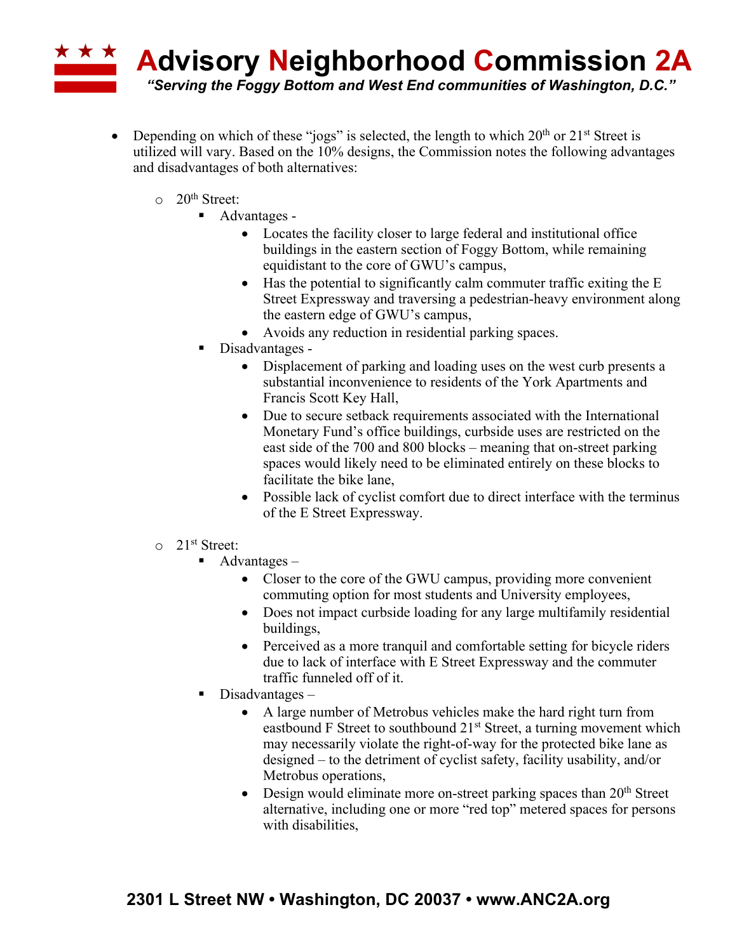# **\* \* \* Advisory Neighborhood Commission 2A** *"Serving the Foggy Bottom and West End communities of Washington, D.C."*

- Depending on which of these "jogs" is selected, the length to which  $20<sup>th</sup>$  or  $21<sup>st</sup>$  Street is utilized will vary. Based on the 10% designs, the Commission notes the following advantages and disadvantages of both alternatives:
	- $\circ$  20<sup>th</sup> Street:
		- Advantages -
			- Locates the facility closer to large federal and institutional office buildings in the eastern section of Foggy Bottom, while remaining equidistant to the core of GWU's campus,
			- Has the potential to significantly calm commuter traffic exiting the E Street Expressway and traversing a pedestrian-heavy environment along the eastern edge of GWU's campus,
			- Avoids any reduction in residential parking spaces.
		- Disadvantages -
			- Displacement of parking and loading uses on the west curb presents a substantial inconvenience to residents of the York Apartments and Francis Scott Key Hall,
			- Due to secure setback requirements associated with the International Monetary Fund's office buildings, curbside uses are restricted on the east side of the 700 and 800 blocks – meaning that on-street parking spaces would likely need to be eliminated entirely on these blocks to facilitate the bike lane,
			- Possible lack of cyclist comfort due to direct interface with the terminus of the E Street Expressway.
	- o 21st Street:
		- $\blacksquare$  Advantages
			- Closer to the core of the GWU campus, providing more convenient commuting option for most students and University employees,
			- Does not impact curbside loading for any large multifamily residential buildings,
			- Perceived as a more tranquil and comfortable setting for bicycle riders due to lack of interface with E Street Expressway and the commuter traffic funneled off of it.
		- $\blacksquare$  Disadvantages
			- A large number of Metrobus vehicles make the hard right turn from eastbound F Street to southbound 21<sup>st</sup> Street, a turning movement which may necessarily violate the right-of-way for the protected bike lane as designed – to the detriment of cyclist safety, facility usability, and/or Metrobus operations,
			- Design would eliminate more on-street parking spaces than  $20<sup>th</sup>$  Street alternative, including one or more "red top" metered spaces for persons with disabilities,